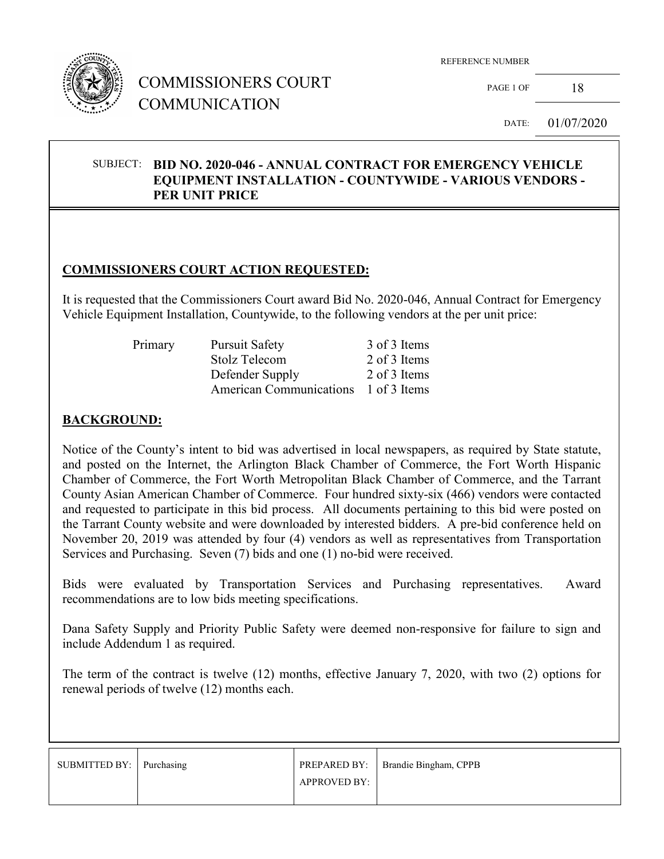

## COMMISSIONERS COURT COMMUNICATION

REFERENCE NUMBER

PAGE 1 OF  $18$ 

DATE: 01/07/2020

#### SUBJECT: **BID NO. 2020-046 - ANNUAL CONTRACT FOR EMERGENCY VEHICLE EQUIPMENT INSTALLATION - COUNTYWIDE - VARIOUS VENDORS - PER UNIT PRICE**

#### **COMMISSIONERS COURT ACTION REQUESTED:**

It is requested that the Commissioners Court award Bid No. 2020-046, Annual Contract for Emergency Vehicle Equipment Installation, Countywide, to the following vendors at the per unit price:

| Primary | <b>Pursuit Safety</b>                | 3 of 3 Items |
|---------|--------------------------------------|--------------|
|         | Stolz Telecom                        | 2 of 3 Items |
|         | Defender Supply                      | 2 of 3 Items |
|         | American Communications 1 of 3 Items |              |

#### **BACKGROUND:**

Notice of the County's intent to bid was advertised in local newspapers, as required by State statute, and posted on the Internet, the Arlington Black Chamber of Commerce, the Fort Worth Hispanic Chamber of Commerce, the Fort Worth Metropolitan Black Chamber of Commerce, and the Tarrant County Asian American Chamber of Commerce. Four hundred sixty-six (466) vendors were contacted and requested to participate in this bid process. All documents pertaining to this bid were posted on the Tarrant County website and were downloaded by interested bidders. A pre-bid conference held on November 20, 2019 was attended by four (4) vendors as well as representatives from Transportation Services and Purchasing. Seven (7) bids and one (1) no-bid were received.

Bids were evaluated by Transportation Services and Purchasing representatives. Award recommendations are to low bids meeting specifications.

Dana Safety Supply and Priority Public Safety were deemed non-responsive for failure to sign and include Addendum 1 as required.

The term of the contract is twelve (12) months, effective January 7, 2020, with two (2) options for renewal periods of twelve (12) months each.

| SUBMITTED BY:   Purchasing |                     | <b>PREPARED BY:</b> Brandie Bingham, CPPB |
|----------------------------|---------------------|-------------------------------------------|
|                            | <b>APPROVED BY:</b> |                                           |